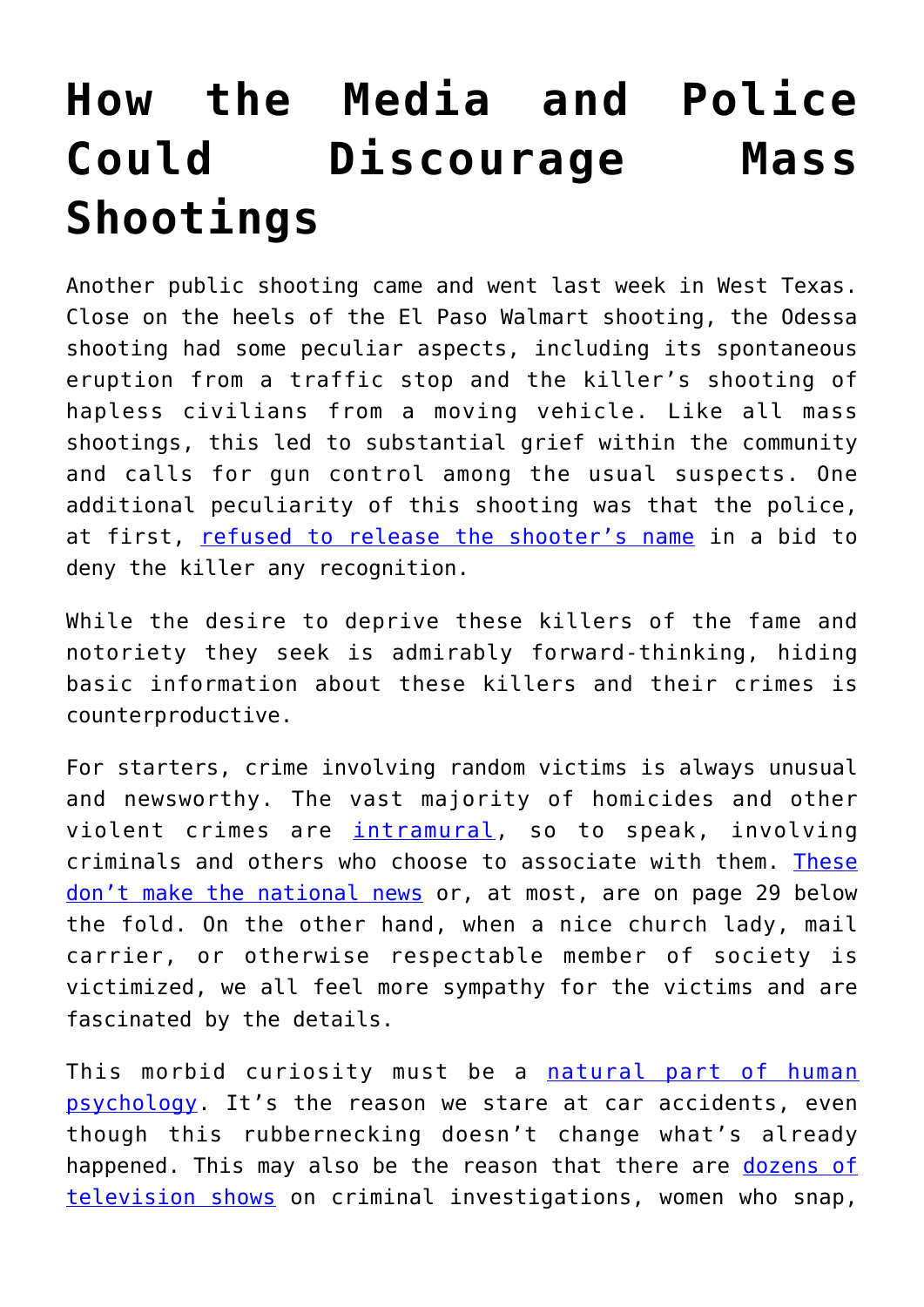## **[How the Media and Police](https://intellectualtakeout.org/2019/09/how-the-media-and-police-could-discourage-mass-shootings/) [Could Discourage Mass](https://intellectualtakeout.org/2019/09/how-the-media-and-police-could-discourage-mass-shootings/) [Shootings](https://intellectualtakeout.org/2019/09/how-the-media-and-police-could-discourage-mass-shootings/)**

Another public shooting came and went last week in West Texas. Close on the heels of the El Paso Walmart shooting, the Odessa shooting had some peculiar aspects, including its spontaneous eruption from a traffic stop and the killer's shooting of hapless civilians from a moving vehicle. Like all mass shootings, this led to substantial grief within the community and calls for gun control among the usual suspects. One additional peculiarity of this shooting was that the police, at first, [refused to release the shooter's name](https://time.com/5666570/not-naming-mass-shooter-trend/) in a bid to deny the killer any recognition.

While the desire to deprive these killers of the fame and notoriety they seek is admirably forward-thinking, hiding basic information about these killers and their crimes is counterproductive.

For starters, crime involving random victims is always unusual and newsworthy. The vast majority of homicides and other violent crimes are [intramural](https://www.bjs.gov/content/pub/press/MILUC88.PR), so to speak, involving criminals and others who choose to associate with them. [These](http://mass-shootings.info/) [don't make the national news](http://mass-shootings.info/) or, at most, are on page 29 below the fold. On the other hand, when a nice church lady, mail carrier, or otherwise respectable member of society is victimized, we all feel more sympathy for the victims and are fascinated by the details.

This morbid curiosity must be a [natural part of human](https://www.nbcnews.com/better/health/science-behind-why-we-can-t-look-away-disasters-ncna804966) [psychology.](https://www.nbcnews.com/better/health/science-behind-why-we-can-t-look-away-disasters-ncna804966) It's the reason we stare at car accidents, even though this rubbernecking doesn't change what's already happened. This may also be the reason that there are [dozens of](https://www.insideedition.com/why-are-people-obsessed-watching-true-crime-series-50224) [television shows](https://www.insideedition.com/why-are-people-obsessed-watching-true-crime-series-50224) on criminal investigations, women who snap,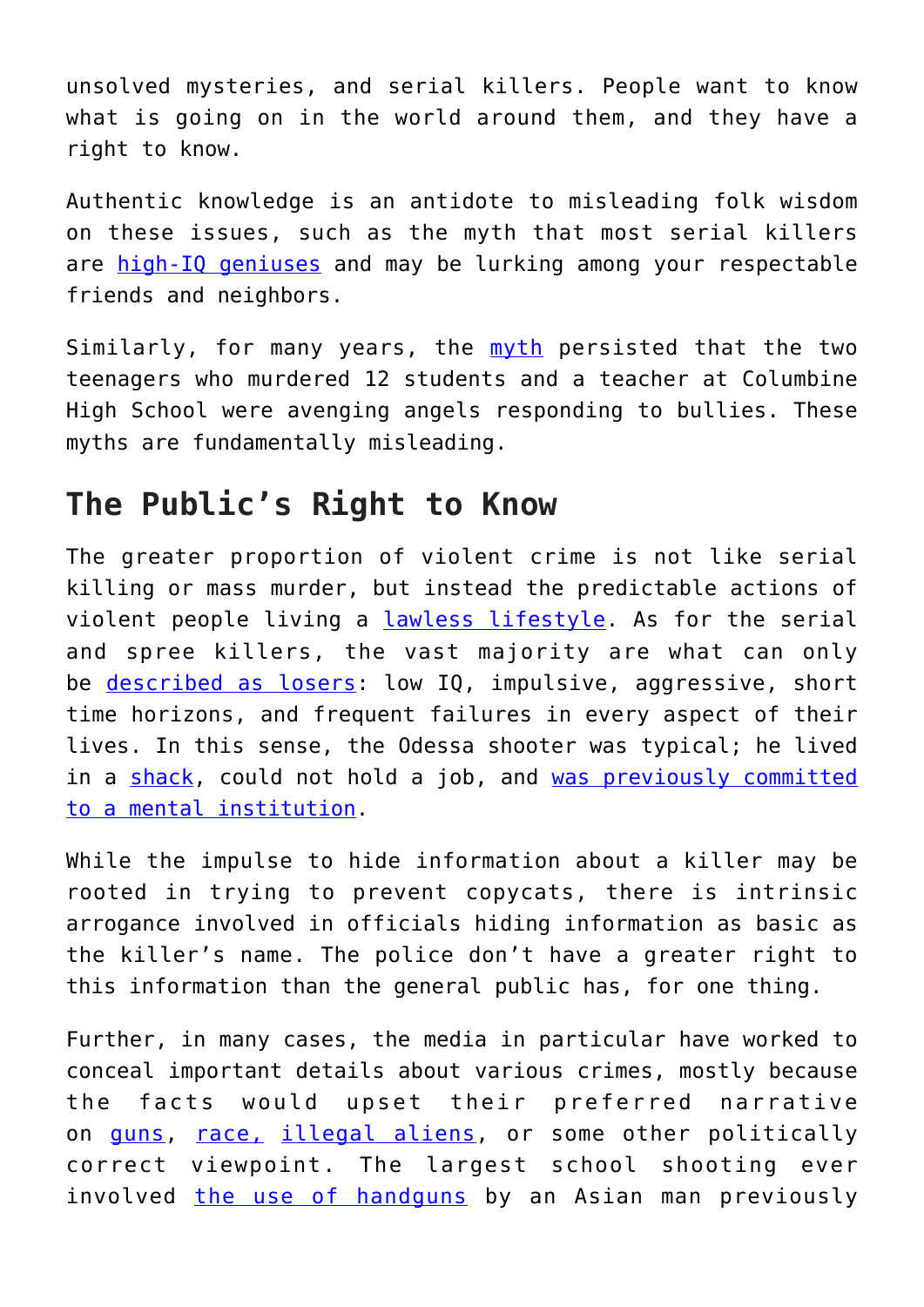unsolved mysteries, and serial killers. People want to know what is going on in the world around them, and they have a right to know.

Authentic knowledge is an antidote to misleading folk wisdom on these issues, such as the myth that most serial killers are [high-IQ geniuses](https://www.oxygen.com/martinis-murder/serial-killers-ted-bundy-dennis-rader) and may be lurking among your respectable friends and neighbors.

Similarly, for many years, the [myth](https://www.businessinsider.com/columbine-shooters-motives-2018-2) persisted that the two teenagers who murdered 12 students and a teacher at Columbine High School were avenging angels responding to bullies. These myths are fundamentally misleading.

## **The Public's Right to Know**

The greater proportion of violent crime is not like serial killing or mass murder, but instead the predictable actions of violent people living a [lawless lifestyle.](https://harris.uchicago.edu/files/inline-files/JAMA_criminal_records_2005.pdf) As for the serial and spree killers, the vast majority are what can only be [described as losers:](https://www.tandfonline.com/doi/full/10.3402/vgi.v3i0.14834) low IQ, impulsive, aggressive, short time horizons, and frequent failures in every aspect of their lives. In this sense, the Odessa shooter was typical; he lived in a [shack,](https://www.expressnews.com/news/local/article/Odessa-gunman-lived-in-a-dirt-floor-shack-and-14407506.php) could not hold a job, and [was previously committed](https://www.wacotrib.com/news/crime/odessa-gunman-had-history-of-violence-in-mclennan-county/article_db9b25cb-61ac-54ce-9e7a-2a8459d9d832.html) [to a mental institution](https://www.wacotrib.com/news/crime/odessa-gunman-had-history-of-violence-in-mclennan-county/article_db9b25cb-61ac-54ce-9e7a-2a8459d9d832.html).

While the impulse to hide information about a killer may be rooted in trying to prevent copycats, there is intrinsic arrogance involved in officials hiding information as basic as the killer's name. The police don't have a greater right to this information than the general public has, for one thing.

Further, in many cases, the media in particular have worked to conceal important details about various crimes, mostly because the facts would upset their preferred narrative on [guns](https://scholarlycommons.law.northwestern.edu/cgi/viewcontent.cgi?referer=&httpsredir=1&article=6853&context=jclc), [race,](https://www.quillmag.com/2008/05/01/omitting-race-politically-correct-or-good-crime-reporting/) [illegal aliens,](https://www.conservativereview.com/news/media-fails-report-illegal-aliens-killing-family-members/) or some other politically correct viewpoint. The largest school shooting ever involved [the use of handguns](https://en.wikipedia.org/wiki/Virginia_Tech_shooting) by an Asian man previously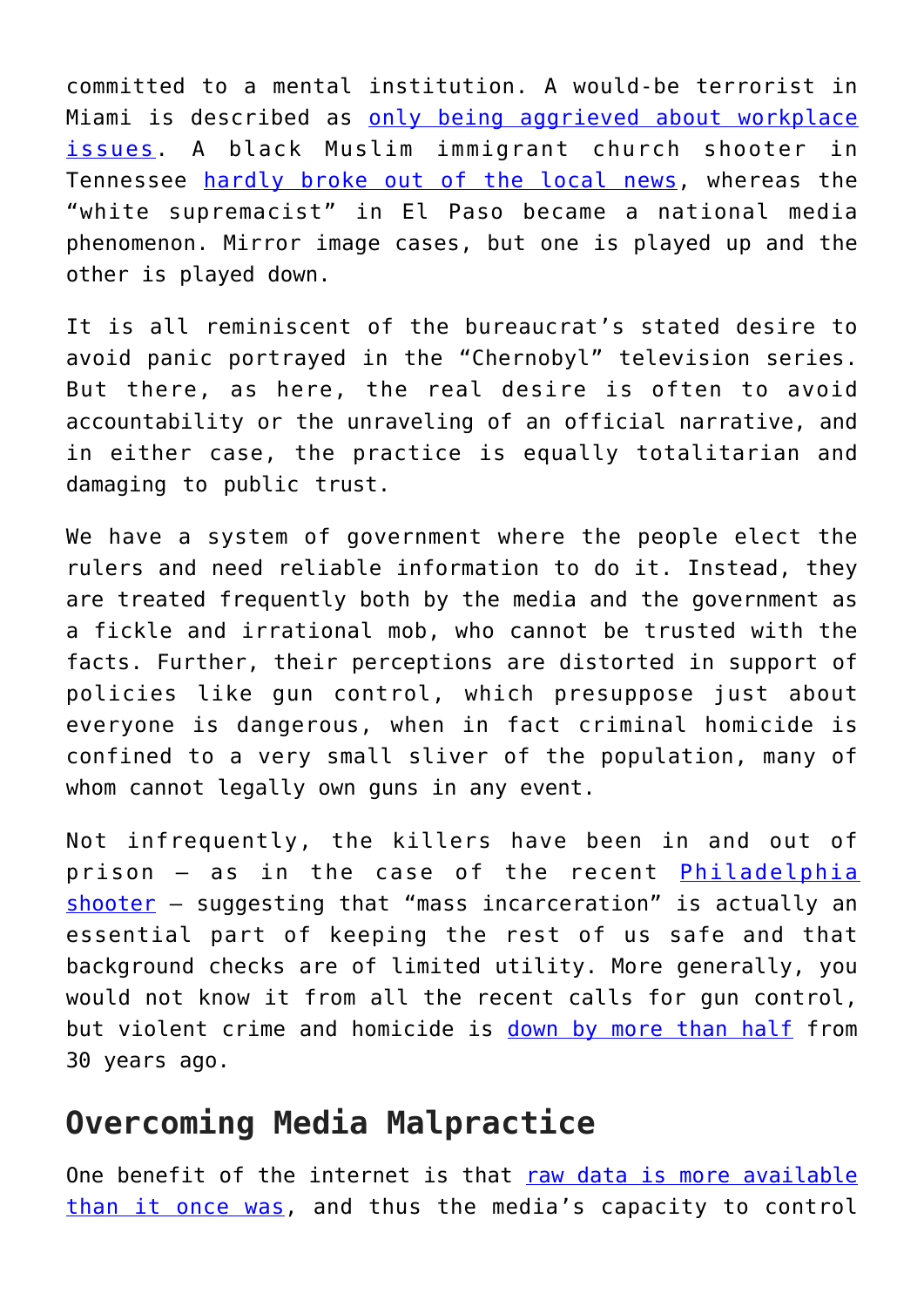committed to a mental institution. A would-be terrorist in Miami is described as [only being aggrieved about workplace](https://www.cnn.com/2019/09/06/us/florida-american-airlines-mechanic-faces-sabotage-charge/index.html) [issues](https://www.cnn.com/2019/09/06/us/florida-american-airlines-mechanic-faces-sabotage-charge/index.html). A black Muslim immigrant church shooter in Tennessee [hardly broke out of the local news,](https://en.wikipedia.org/wiki/Burnette_Chapel_shooting) whereas the "white supremacist" in El Paso became a national media phenomenon. Mirror image cases, but one is played up and the other is played down.

It is all reminiscent of the bureaucrat's stated desire to avoid panic portrayed in the "Chernobyl" television series. But there, as here, the real desire is often to avoid accountability or the unraveling of an official narrative, and in either case, the practice is equally totalitarian and damaging to public trust.

We have a system of government where the people elect the rulers and need reliable information to do it. Instead, they are treated frequently both by the media and the government as a fickle and irrational mob, who cannot be trusted with the facts. Further, their perceptions are distorted in support of policies like gun control, which presuppose just about everyone is dangerous, when in fact criminal homicide is confined to a very small sliver of the population, many of whom cannot legally own guns in any event.

Not infrequently, the killers have been in and out of prison – as in the case of the recent <u>[Philadelphia](https://www.apnews.com/350a408713d449c280f134dcce76d08e)</u> [shooter](https://www.apnews.com/350a408713d449c280f134dcce76d08e) – suggesting that "mass incarceration" is actually an essential part of keeping the rest of us safe and that background checks are of limited utility. More generally, you would not know it from all the recent calls for gun control, but violent crime and homicide is [down by more than half](https://www.pewresearch.org/fact-tank/2019/01/03/5-facts-about-crime-in-the-u-s/) from 30 years ago.

## **Overcoming Media Malpractice**

One benefit of the internet is that [raw data is more available](https://ucr.fbi.gov/crime-in-the-u.s/2017/crime-in-the-u.s.-2017/tables/table-67) [than it once was,](https://ucr.fbi.gov/crime-in-the-u.s/2017/crime-in-the-u.s.-2017/tables/table-67) and thus the media's capacity to control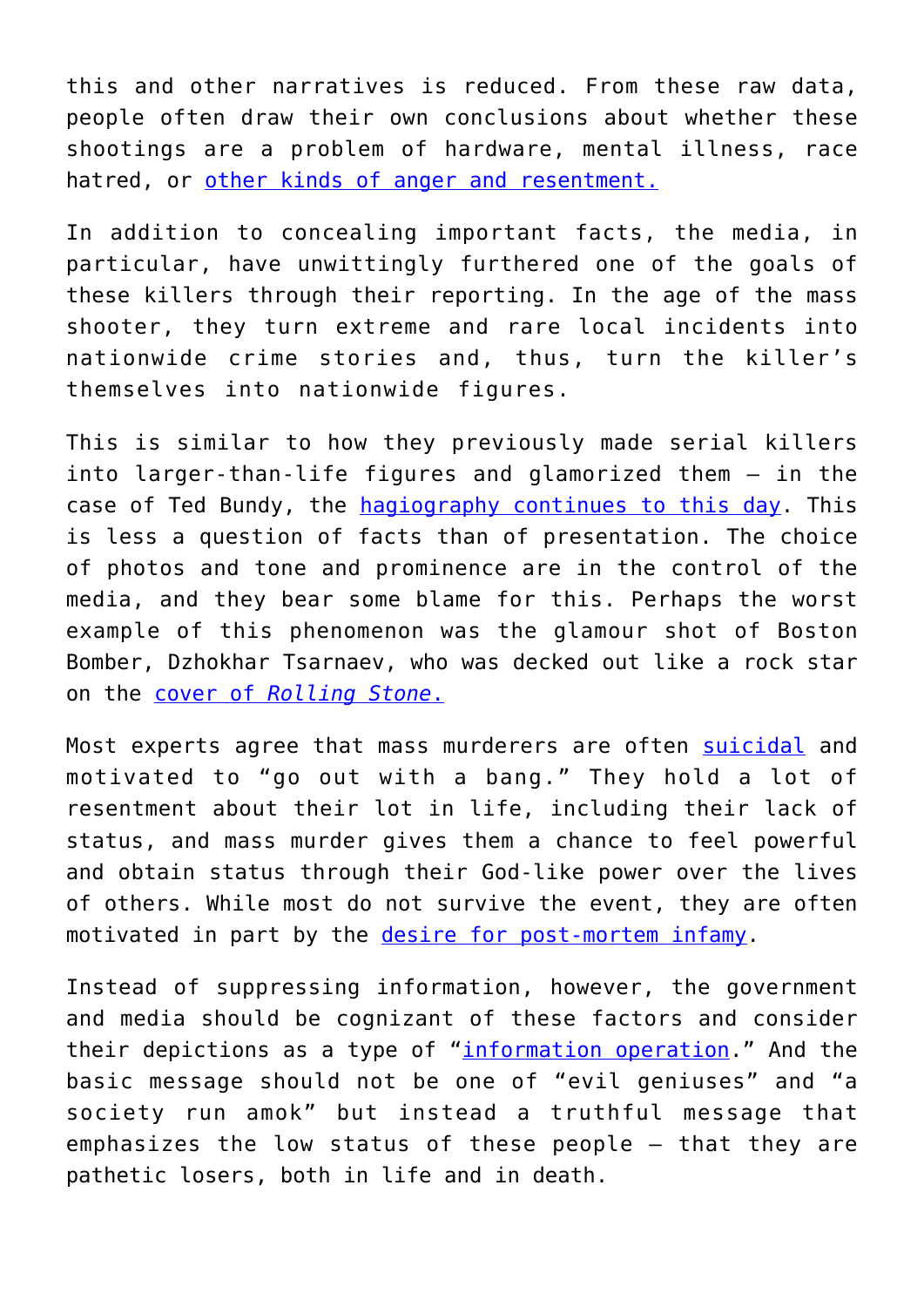this and other narratives is reduced. From these raw data, people often draw their own conclusions about whether these shootings are a problem of hardware, mental illness, race hatred, or [other kinds of anger and resentment.](https://www.psychologytoday.com/us/blog/spycatcher/201304/wound-collectors)

In addition to concealing important facts, the media, in particular, have unwittingly furthered one of the goals of these killers through their reporting. In the age of the mass shooter, they turn extreme and rare local incidents into nationwide crime stories and, thus, turn the killer's themselves into nationwide figures.

This is similar to how they previously made serial killers into larger-than-life figures and glamorized them – in the case of Ted Bundy, the [hagiography continues to this day](https://www.netflix.com/title/80226612). This is less a question of facts than of presentation. The choice of photos and tone and prominence are in the control of the media, and they bear some blame for this. Perhaps the worst example of this phenomenon was the glamour shot of Boston Bomber, Dzhokhar Tsarnaev, who was decked out like a rock star on the [cover of](https://ichef.bbci.co.uk/news/304/media/images/68776000/jpg/_68776961_rollingstone.jpg) *[Rolling Stone](https://ichef.bbci.co.uk/news/304/media/images/68776000/jpg/_68776961_rollingstone.jpg)*[.](https://ichef.bbci.co.uk/news/304/media/images/68776000/jpg/_68776961_rollingstone.jpg)

Most experts agree that mass murderers are often [suicidal](https://fivethirtyeight.com/features/can-we-prevent-mass-shootings-by-preventing-suicide/) and motivated to "go out with a bang." They hold a lot of resentment about their lot in life, including their lack of status, and mass murder gives them a chance to feel powerful and obtain status through their God-like power over the lives of others. While most do not survive the event, they are often motivated in part by the [desire for post-mortem infamy](https://fivethirtyeight.com/features/can-we-prevent-mass-shootings-by-preventing-suicide/).

Instead of suppressing information, however, the government and media should be cognizant of these factors and consider their depictions as a type of "[information operation](https://www.rand.org/topics/information-operations.html)." And the basic message should not be one of "evil geniuses" and "a society run amok" but instead a truthful message that emphasizes the low status of these people – that they are pathetic losers, both in life and in death.